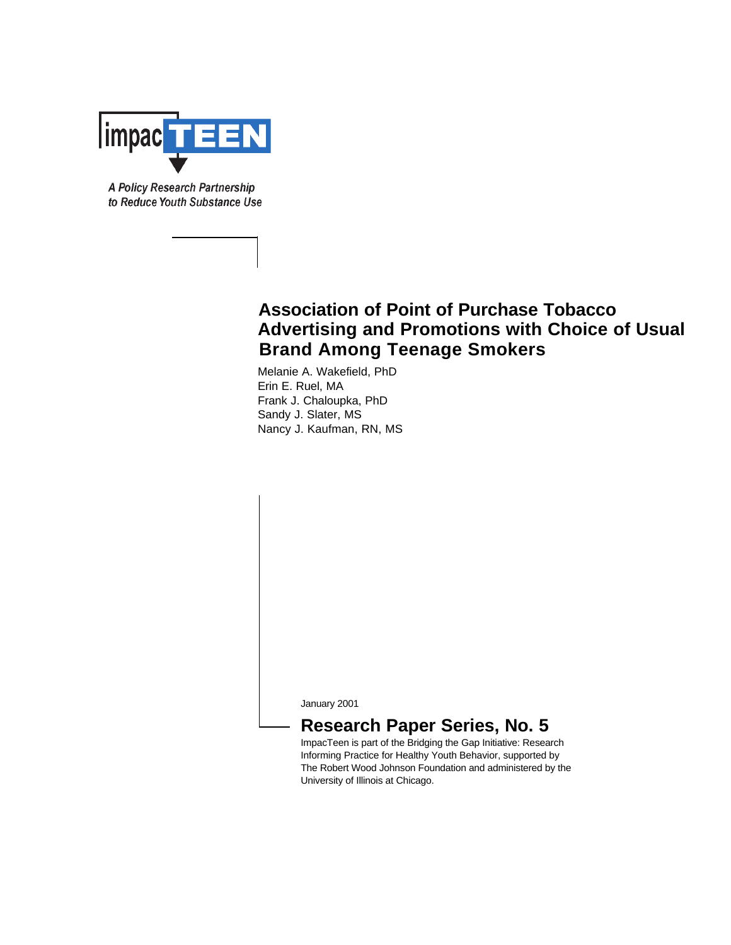

A Policy Research Partnership to Reduce Youth Substance Use

# **Association of Point of Purchase Tobacco Advertising and Promotions with Choice of Usual Brand Among Teenage Smokers**

Melanie A. Wakefield, PhD Erin E. Ruel, MA Frank J. Chaloupka, PhD Sandy J. Slater, MS Nancy J. Kaufman, RN, MS

January 2001

## **Research Paper Series, No. 5**

ImpacTeen is part of the Bridging the Gap Initiative: Research Informing Practice for Healthy Youth Behavior, supported by The Robert Wood Johnson Foundation and administered by the University of Illinois at Chicago.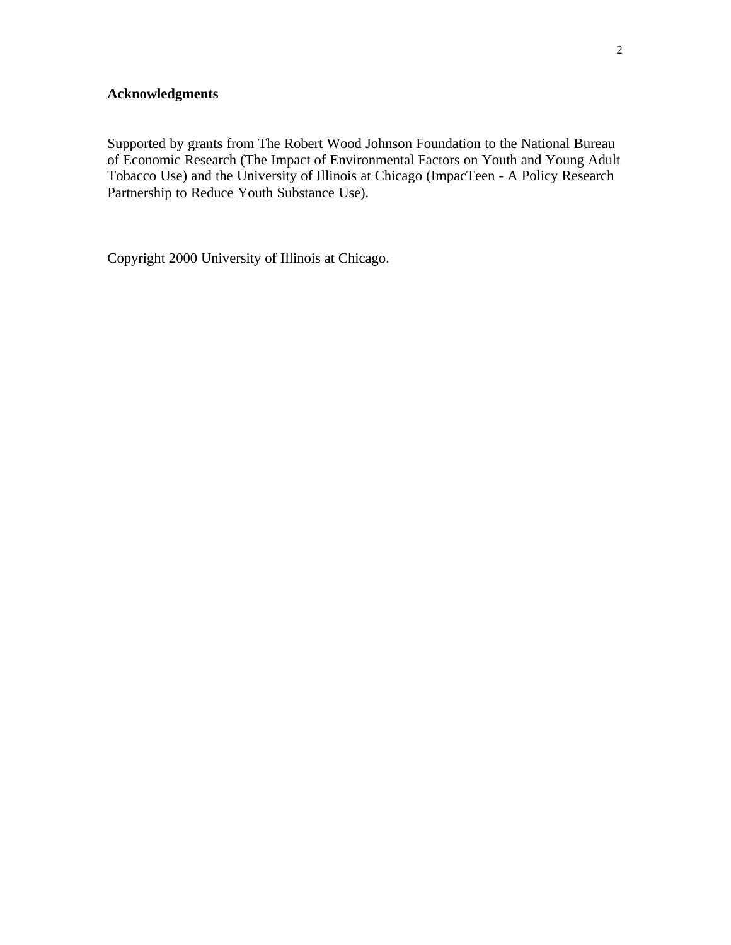### **Acknowledgments**

Supported by grants from The Robert Wood Johnson Foundation to the National Bureau of Economic Research (The Impact of Environmental Factors on Youth and Young Adult Tobacco Use) and the University of Illinois at Chicago (ImpacTeen - A Policy Research Partnership to Reduce Youth Substance Use).

Copyright 2000 University of Illinois at Chicago.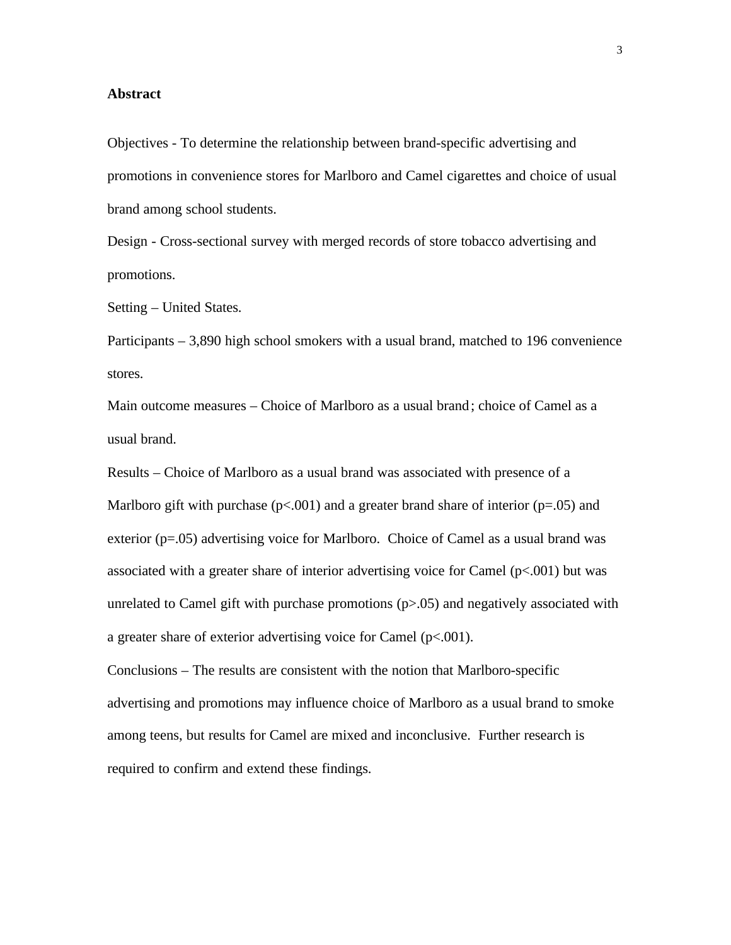#### **Abstract**

Objectives - To determine the relationship between brand-specific advertising and promotions in convenience stores for Marlboro and Camel cigarettes and choice of usual brand among school students.

Design - Cross-sectional survey with merged records of store tobacco advertising and promotions.

Setting – United States.

Participants – 3,890 high school smokers with a usual brand, matched to 196 convenience stores.

Main outcome measures – Choice of Marlboro as a usual brand; choice of Camel as a usual brand.

Results – Choice of Marlboro as a usual brand was associated with presence of a Marlboro gift with purchase ( $p<0.001$ ) and a greater brand share of interior ( $p=.05$ ) and exterior  $(p=.05)$  advertising voice for Marlboro. Choice of Camel as a usual brand was associated with a greater share of interior advertising voice for Camel  $(p<.001)$  but was unrelated to Camel gift with purchase promotions  $(p>0.05)$  and negatively associated with a greater share of exterior advertising voice for Camel  $(p<0.01)$ .

Conclusions – The results are consistent with the notion that Marlboro-specific advertising and promotions may influence choice of Marlboro as a usual brand to smoke among teens, but results for Camel are mixed and inconclusive. Further research is required to confirm and extend these findings.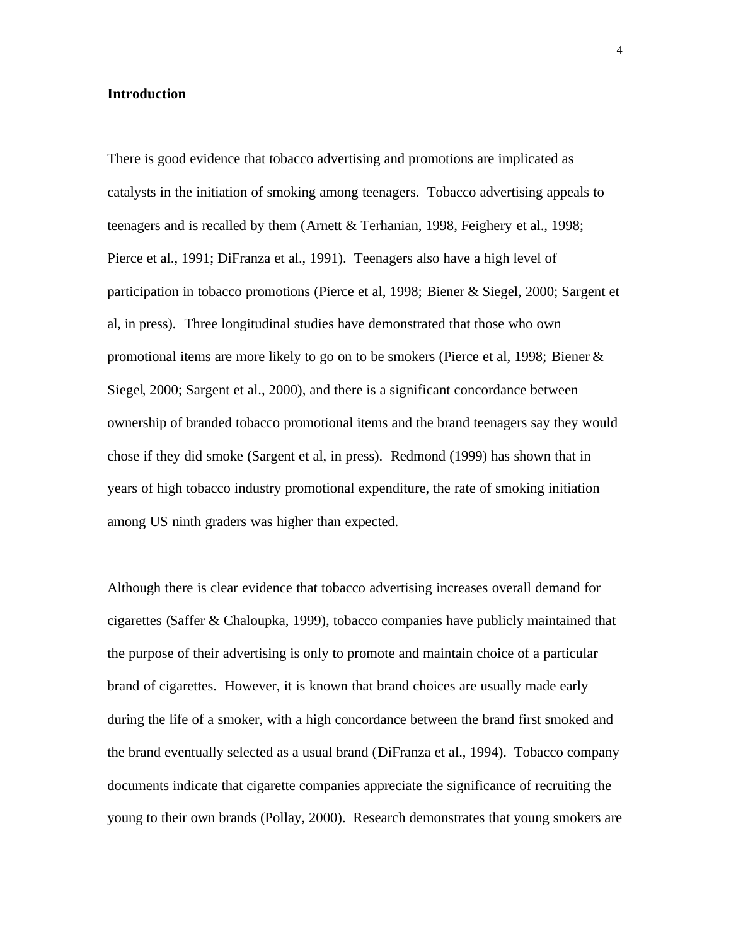#### **Introduction**

There is good evidence that tobacco advertising and promotions are implicated as catalysts in the initiation of smoking among teenagers. Tobacco advertising appeals to teenagers and is recalled by them (Arnett & Terhanian, 1998, Feighery et al., 1998; Pierce et al., 1991; DiFranza et al., 1991). Teenagers also have a high level of participation in tobacco promotions (Pierce et al, 1998; Biener & Siegel, 2000; Sargent et al, in press). Three longitudinal studies have demonstrated that those who own promotional items are more likely to go on to be smokers (Pierce et al, 1998; Biener & Siegel, 2000; Sargent et al., 2000), and there is a significant concordance between ownership of branded tobacco promotional items and the brand teenagers say they would chose if they did smoke (Sargent et al, in press). Redmond (1999) has shown that in years of high tobacco industry promotional expenditure, the rate of smoking initiation among US ninth graders was higher than expected.

Although there is clear evidence that tobacco advertising increases overall demand for cigarettes (Saffer & Chaloupka, 1999), tobacco companies have publicly maintained that the purpose of their advertising is only to promote and maintain choice of a particular brand of cigarettes. However, it is known that brand choices are usually made early during the life of a smoker, with a high concordance between the brand first smoked and the brand eventually selected as a usual brand (DiFranza et al., 1994). Tobacco company documents indicate that cigarette companies appreciate the significance of recruiting the young to their own brands (Pollay, 2000). Research demonstrates that young smokers are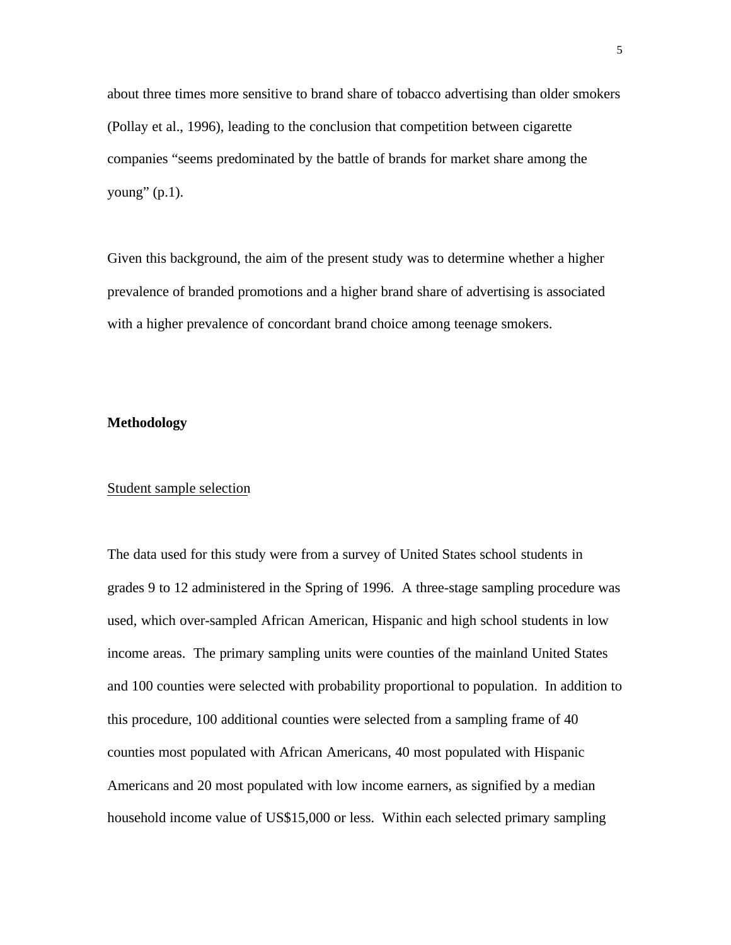about three times more sensitive to brand share of tobacco advertising than older smokers (Pollay et al., 1996), leading to the conclusion that competition between cigarette companies "seems predominated by the battle of brands for market share among the young"  $(p.1)$ .

Given this background, the aim of the present study was to determine whether a higher prevalence of branded promotions and a higher brand share of advertising is associated with a higher prevalence of concordant brand choice among teenage smokers.

#### **Methodology**

#### Student sample selection

The data used for this study were from a survey of United States school students in grades 9 to 12 administered in the Spring of 1996. A three-stage sampling procedure was used, which over-sampled African American, Hispanic and high school students in low income areas. The primary sampling units were counties of the mainland United States and 100 counties were selected with probability proportional to population. In addition to this procedure, 100 additional counties were selected from a sampling frame of 40 counties most populated with African Americans, 40 most populated with Hispanic Americans and 20 most populated with low income earners, as signified by a median household income value of US\$15,000 or less. Within each selected primary sampling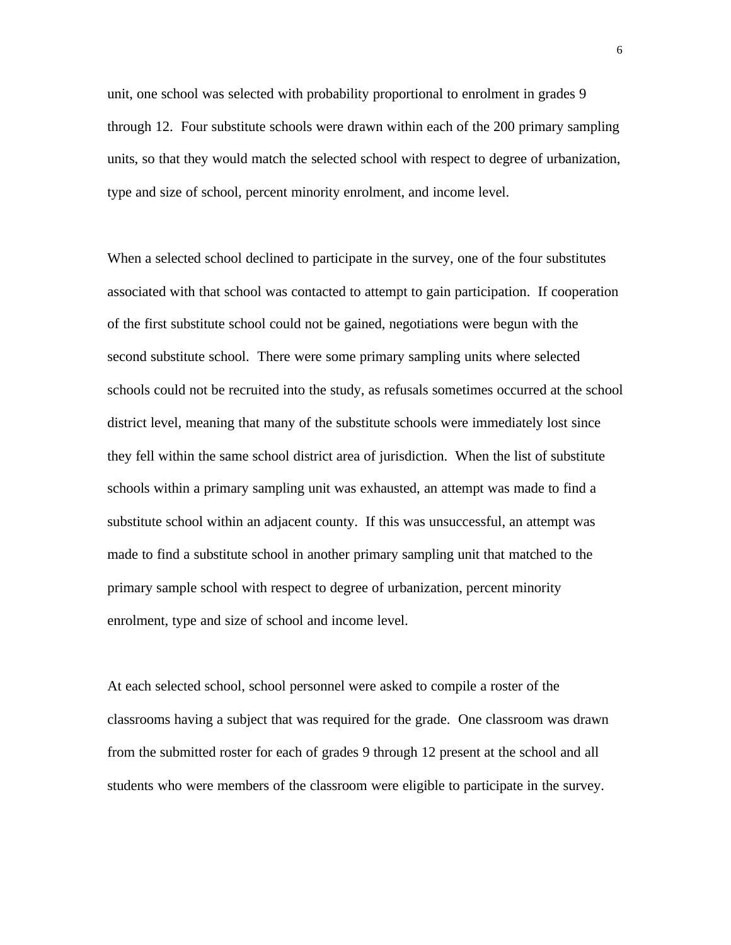unit, one school was selected with probability proportional to enrolment in grades 9 through 12. Four substitute schools were drawn within each of the 200 primary sampling units, so that they would match the selected school with respect to degree of urbanization, type and size of school, percent minority enrolment, and income level.

When a selected school declined to participate in the survey, one of the four substitutes associated with that school was contacted to attempt to gain participation. If cooperation of the first substitute school could not be gained, negotiations were begun with the second substitute school. There were some primary sampling units where selected schools could not be recruited into the study, as refusals sometimes occurred at the school district level, meaning that many of the substitute schools were immediately lost since they fell within the same school district area of jurisdiction. When the list of substitute schools within a primary sampling unit was exhausted, an attempt was made to find a substitute school within an adjacent county. If this was unsuccessful, an attempt was made to find a substitute school in another primary sampling unit that matched to the primary sample school with respect to degree of urbanization, percent minority enrolment, type and size of school and income level.

At each selected school, school personnel were asked to compile a roster of the classrooms having a subject that was required for the grade. One classroom was drawn from the submitted roster for each of grades 9 through 12 present at the school and all students who were members of the classroom were eligible to participate in the survey.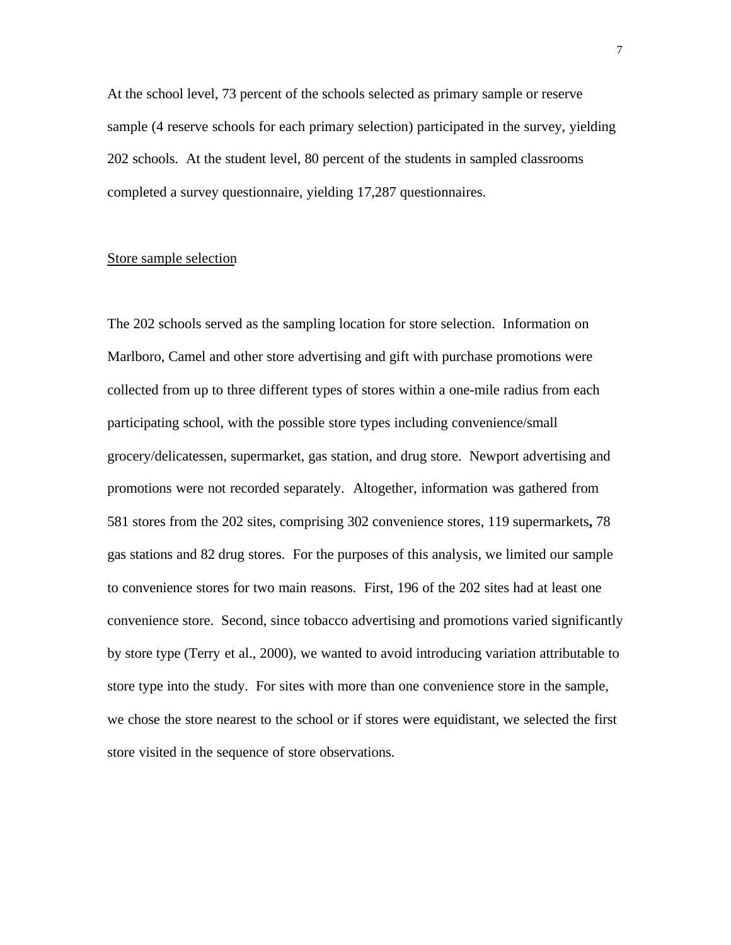At the school level, 73 percent of the schools selected as primary sample or reserve sample (4 reserve schools for each primary selection) participated in the survey, yielding 202 schools. At the student level, 80 percent of the students in sampled classrooms completed a survey questionnaire, yielding 17,287 questionnaires.

#### Store sample selection

The 202 schools served as the sampling location for store selection. Information on Marlboro, Camel and other store advertising and gift with purchase promotions were collected from up to three different types of stores within a one-mile radius from each participating school, with the possible store types including convenience/small grocery/delicatessen, supermarket, gas station, and drug store. Newport advertising and promotions were not recorded separately. Altogether, information was gathered from 581 stores from the 202 sites, comprising 302 convenience stores, 119 supermarkets**,** 78 gas stations and 82 drug stores. For the purposes of this analysis, we limited our sample to convenience stores for two main reasons. First, 196 of the 202 sites had at least one convenience store. Second, since tobacco advertising and promotions varied significantly by store type (Terry et al., 2000), we wanted to avoid introducing variation attributable to store type into the study. For sites with more than one convenience store in the sample, we chose the store nearest to the school or if stores were equidistant, we selected the first store visited in the sequence of store observations.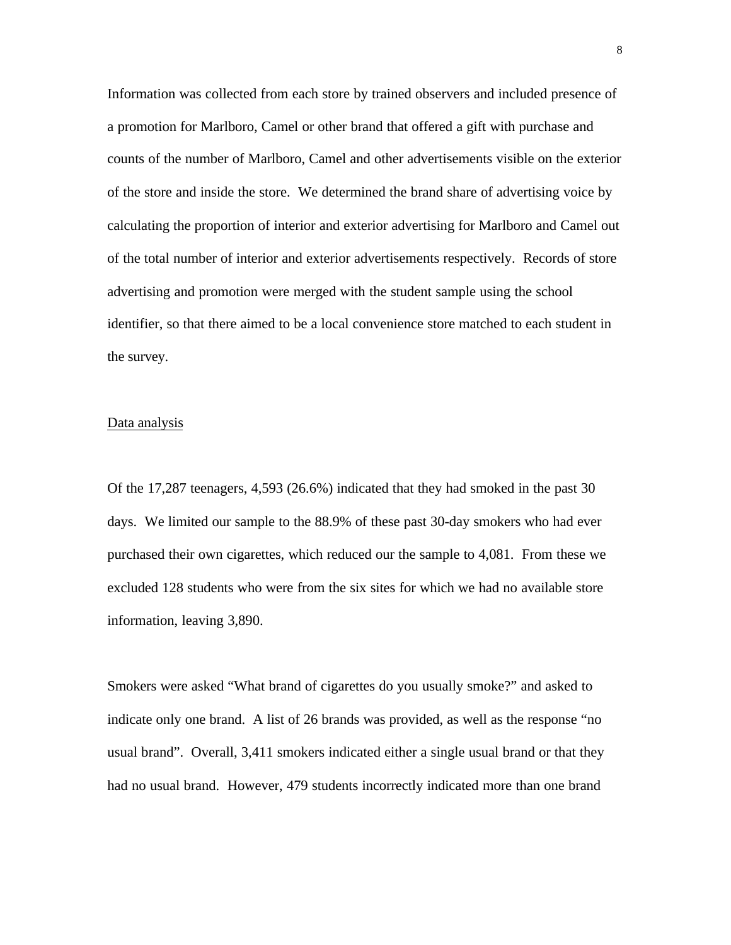Information was collected from each store by trained observers and included presence of a promotion for Marlboro, Camel or other brand that offered a gift with purchase and counts of the number of Marlboro, Camel and other advertisements visible on the exterior of the store and inside the store. We determined the brand share of advertising voice by calculating the proportion of interior and exterior advertising for Marlboro and Camel out of the total number of interior and exterior advertisements respectively. Records of store advertising and promotion were merged with the student sample using the school identifier, so that there aimed to be a local convenience store matched to each student in the survey.

#### Data analysis

Of the 17,287 teenagers, 4,593 (26.6%) indicated that they had smoked in the past 30 days. We limited our sample to the 88.9% of these past 30-day smokers who had ever purchased their own cigarettes, which reduced our the sample to 4,081. From these we excluded 128 students who were from the six sites for which we had no available store information, leaving 3,890.

Smokers were asked "What brand of cigarettes do you usually smoke?" and asked to indicate only one brand. A list of 26 brands was provided, as well as the response "no usual brand". Overall, 3,411 smokers indicated either a single usual brand or that they had no usual brand. However, 479 students incorrectly indicated more than one brand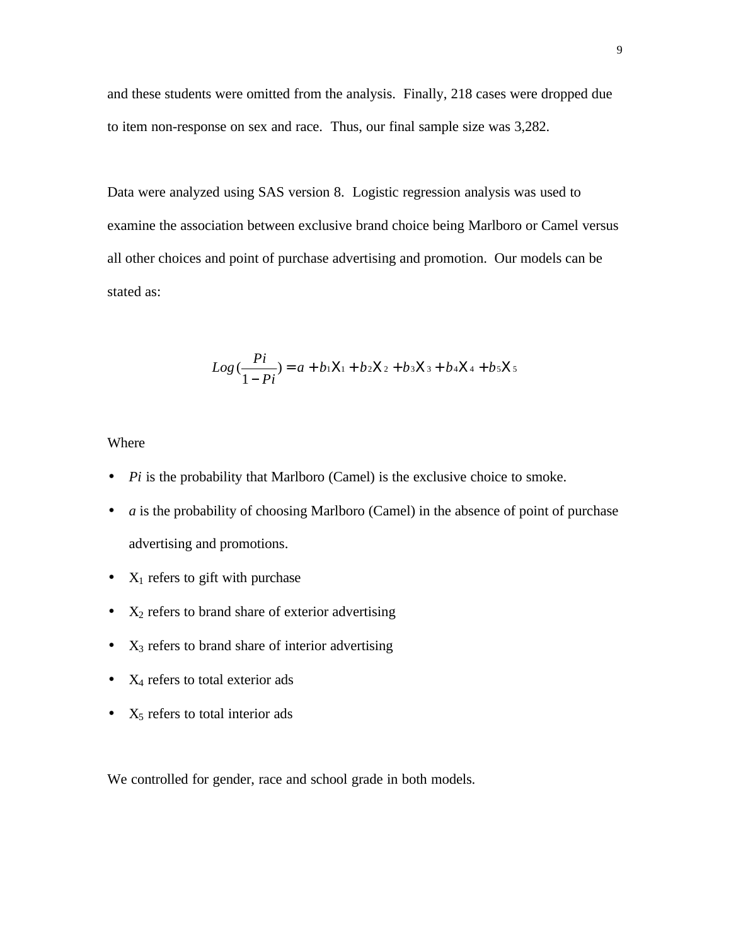and these students were omitted from the analysis. Finally, 218 cases were dropped due to item non-response on sex and race. Thus, our final sample size was 3,282.

Data were analyzed using SAS version 8. Logistic regression analysis was used to examine the association between exclusive brand choice being Marlboro or Camel versus all other choices and point of purchase advertising and promotion. Our models can be stated as:

$$
Log\left(\frac{Pi}{1 - Pi}\right) = a + b_1X_1 + b_2X_2 + b_3X_3 + b_4X_4 + b_5X_5
$$

#### Where

- *Pi* is the probability that Marlboro (Camel) is the exclusive choice to smoke.
- *a* is the probability of choosing Marlboro (Camel) in the absence of point of purchase advertising and promotions.
- $X_1$  refers to gift with purchase
- $X_2$  refers to brand share of exterior advertising
- $X_3$  refers to brand share of interior advertising
- $X_4$  refers to total exterior ads
- $X_5$  refers to total interior ads

We controlled for gender, race and school grade in both models.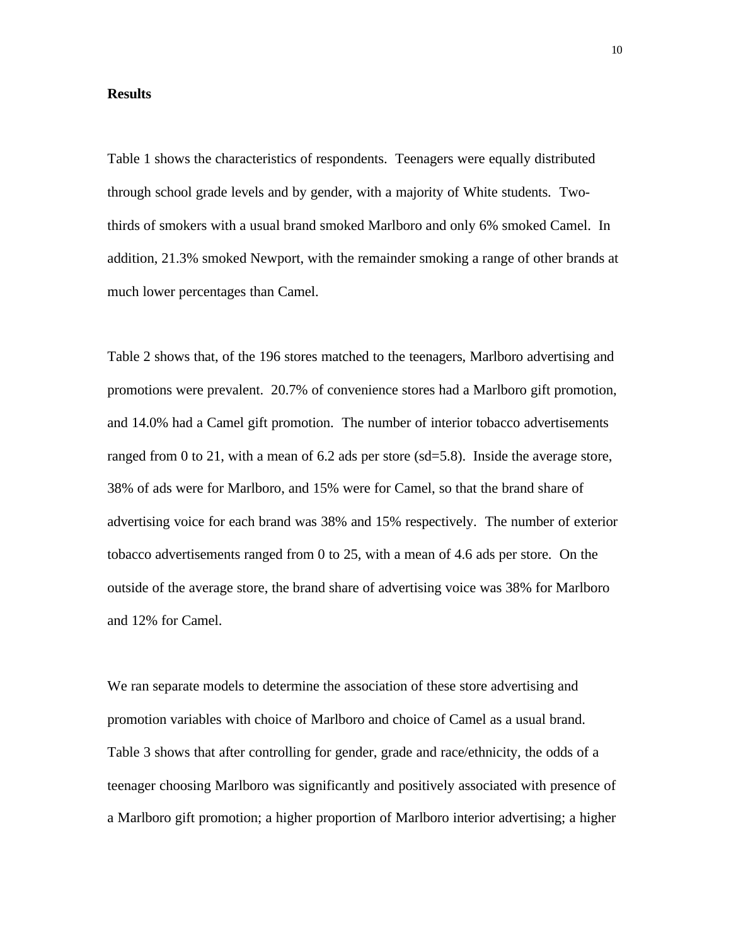#### **Results**

Table 1 shows the characteristics of respondents. Teenagers were equally distributed through school grade levels and by gender, with a majority of White students. Twothirds of smokers with a usual brand smoked Marlboro and only 6% smoked Camel. In addition, 21.3% smoked Newport, with the remainder smoking a range of other brands at much lower percentages than Camel.

Table 2 shows that, of the 196 stores matched to the teenagers, Marlboro advertising and promotions were prevalent. 20.7% of convenience stores had a Marlboro gift promotion, and 14.0% had a Camel gift promotion. The number of interior tobacco advertisements ranged from 0 to 21, with a mean of 6.2 ads per store (sd=5.8). Inside the average store, 38% of ads were for Marlboro, and 15% were for Camel, so that the brand share of advertising voice for each brand was 38% and 15% respectively. The number of exterior tobacco advertisements ranged from 0 to 25, with a mean of 4.6 ads per store. On the outside of the average store, the brand share of advertising voice was 38% for Marlboro and 12% for Camel.

We ran separate models to determine the association of these store advertising and promotion variables with choice of Marlboro and choice of Camel as a usual brand. Table 3 shows that after controlling for gender, grade and race/ethnicity, the odds of a teenager choosing Marlboro was significantly and positively associated with presence of a Marlboro gift promotion; a higher proportion of Marlboro interior advertising; a higher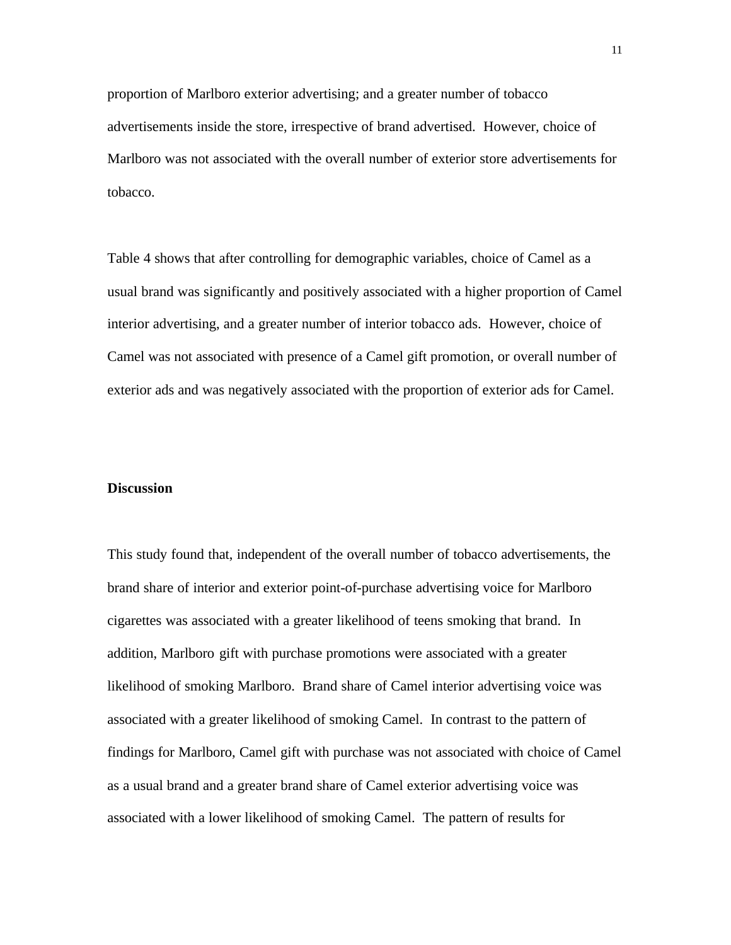proportion of Marlboro exterior advertising; and a greater number of tobacco advertisements inside the store, irrespective of brand advertised. However, choice of Marlboro was not associated with the overall number of exterior store advertisements for tobacco.

Table 4 shows that after controlling for demographic variables, choice of Camel as a usual brand was significantly and positively associated with a higher proportion of Camel interior advertising, and a greater number of interior tobacco ads. However, choice of Camel was not associated with presence of a Camel gift promotion, or overall number of exterior ads and was negatively associated with the proportion of exterior ads for Camel.

#### **Discussion**

This study found that, independent of the overall number of tobacco advertisements, the brand share of interior and exterior point-of-purchase advertising voice for Marlboro cigarettes was associated with a greater likelihood of teens smoking that brand. In addition, Marlboro gift with purchase promotions were associated with a greater likelihood of smoking Marlboro. Brand share of Camel interior advertising voice was associated with a greater likelihood of smoking Camel. In contrast to the pattern of findings for Marlboro, Camel gift with purchase was not associated with choice of Camel as a usual brand and a greater brand share of Camel exterior advertising voice was associated with a lower likelihood of smoking Camel. The pattern of results for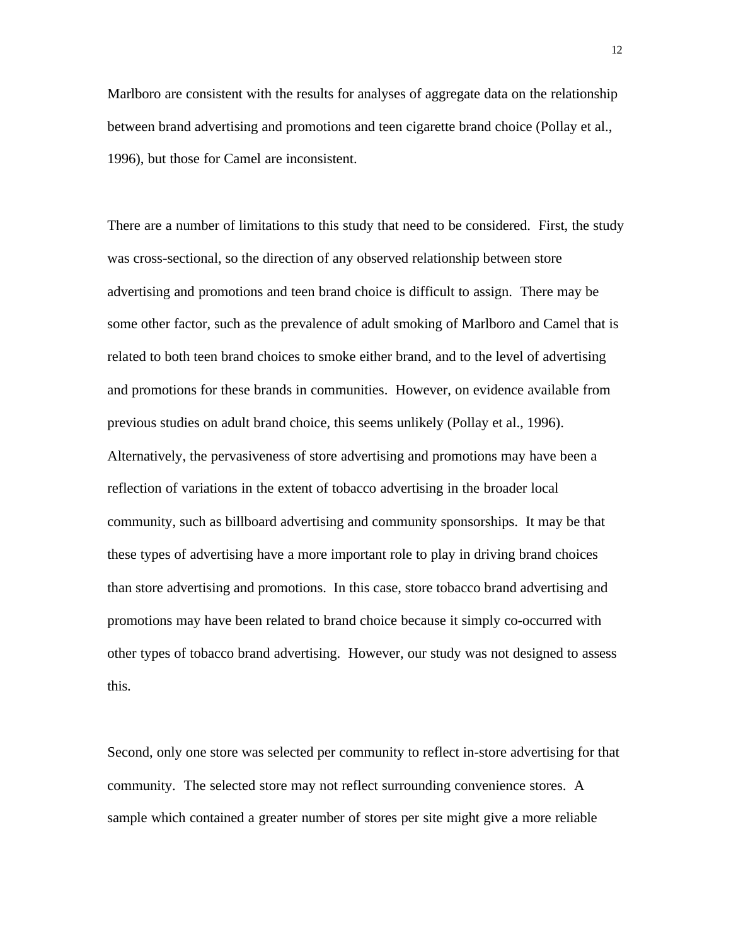Marlboro are consistent with the results for analyses of aggregate data on the relationship between brand advertising and promotions and teen cigarette brand choice (Pollay et al., 1996), but those for Camel are inconsistent.

There are a number of limitations to this study that need to be considered. First, the study was cross-sectional, so the direction of any observed relationship between store advertising and promotions and teen brand choice is difficult to assign. There may be some other factor, such as the prevalence of adult smoking of Marlboro and Camel that is related to both teen brand choices to smoke either brand, and to the level of advertising and promotions for these brands in communities. However, on evidence available from previous studies on adult brand choice, this seems unlikely (Pollay et al., 1996). Alternatively, the pervasiveness of store advertising and promotions may have been a reflection of variations in the extent of tobacco advertising in the broader local community, such as billboard advertising and community sponsorships. It may be that these types of advertising have a more important role to play in driving brand choices than store advertising and promotions. In this case, store tobacco brand advertising and promotions may have been related to brand choice because it simply co-occurred with other types of tobacco brand advertising. However, our study was not designed to assess this.

Second, only one store was selected per community to reflect in-store advertising for that community. The selected store may not reflect surrounding convenience stores. A sample which contained a greater number of stores per site might give a more reliable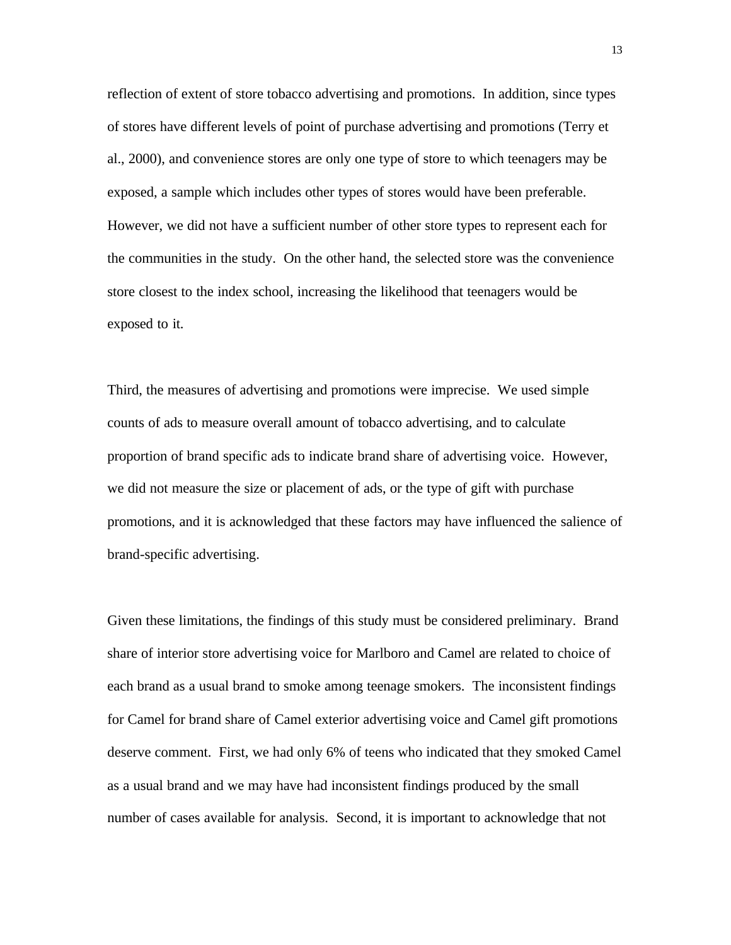reflection of extent of store tobacco advertising and promotions. In addition, since types of stores have different levels of point of purchase advertising and promotions (Terry et al., 2000), and convenience stores are only one type of store to which teenagers may be exposed, a sample which includes other types of stores would have been preferable. However, we did not have a sufficient number of other store types to represent each for the communities in the study. On the other hand, the selected store was the convenience store closest to the index school, increasing the likelihood that teenagers would be exposed to it.

Third, the measures of advertising and promotions were imprecise. We used simple counts of ads to measure overall amount of tobacco advertising, and to calculate proportion of brand specific ads to indicate brand share of advertising voice. However, we did not measure the size or placement of ads, or the type of gift with purchase promotions, and it is acknowledged that these factors may have influenced the salience of brand-specific advertising.

Given these limitations, the findings of this study must be considered preliminary. Brand share of interior store advertising voice for Marlboro and Camel are related to choice of each brand as a usual brand to smoke among teenage smokers. The inconsistent findings for Camel for brand share of Camel exterior advertising voice and Camel gift promotions deserve comment. First, we had only 6% of teens who indicated that they smoked Camel as a usual brand and we may have had inconsistent findings produced by the small number of cases available for analysis. Second, it is important to acknowledge that not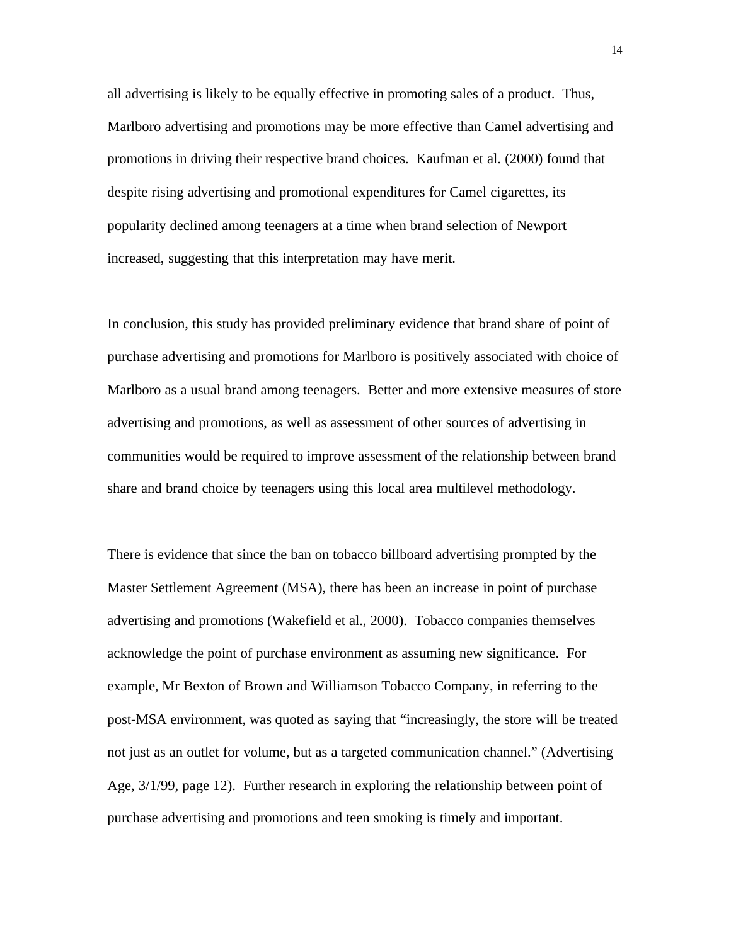all advertising is likely to be equally effective in promoting sales of a product. Thus, Marlboro advertising and promotions may be more effective than Camel advertising and promotions in driving their respective brand choices. Kaufman et al. (2000) found that despite rising advertising and promotional expenditures for Camel cigarettes, its popularity declined among teenagers at a time when brand selection of Newport increased, suggesting that this interpretation may have merit.

In conclusion, this study has provided preliminary evidence that brand share of point of purchase advertising and promotions for Marlboro is positively associated with choice of Marlboro as a usual brand among teenagers. Better and more extensive measures of store advertising and promotions, as well as assessment of other sources of advertising in communities would be required to improve assessment of the relationship between brand share and brand choice by teenagers using this local area multilevel methodology.

There is evidence that since the ban on tobacco billboard advertising prompted by the Master Settlement Agreement (MSA), there has been an increase in point of purchase advertising and promotions (Wakefield et al., 2000). Tobacco companies themselves acknowledge the point of purchase environment as assuming new significance. For example, Mr Bexton of Brown and Williamson Tobacco Company, in referring to the post-MSA environment, was quoted as saying that "increasingly, the store will be treated not just as an outlet for volume, but as a targeted communication channel." (Advertising Age, 3/1/99, page 12). Further research in exploring the relationship between point of purchase advertising and promotions and teen smoking is timely and important.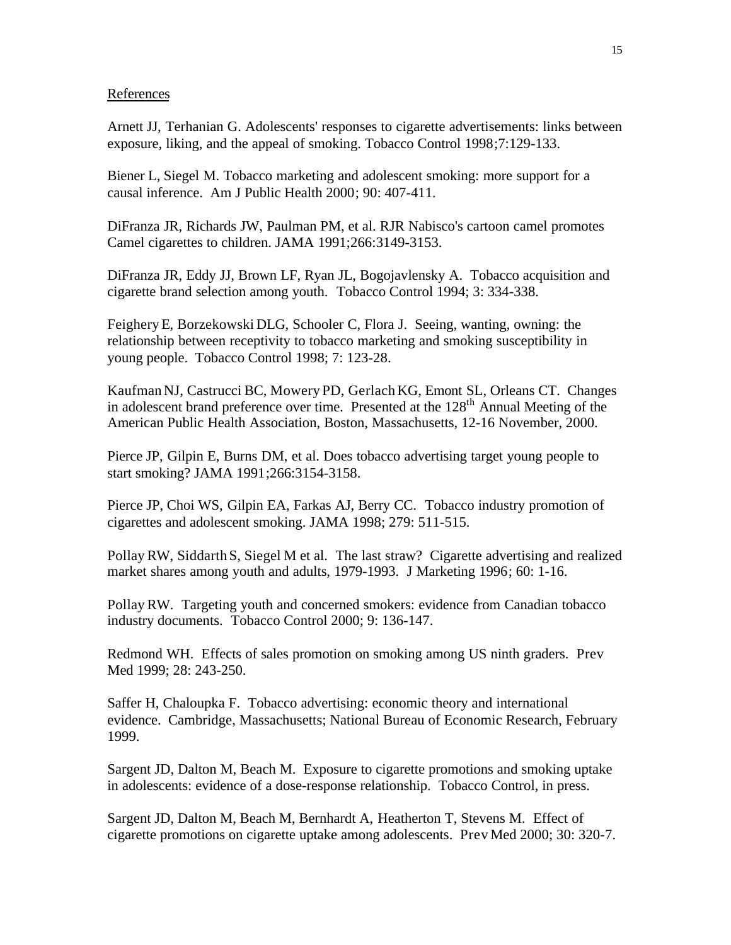#### References

Arnett JJ, Terhanian G. Adolescents' responses to cigarette advertisements: links between exposure, liking, and the appeal of smoking. Tobacco Control 1998;7:129-133.

Biener L, Siegel M. Tobacco marketing and adolescent smoking: more support for a causal inference. Am J Public Health 2000; 90: 407-411.

DiFranza JR, Richards JW, Paulman PM, et al. RJR Nabisco's cartoon camel promotes Camel cigarettes to children. JAMA 1991;266:3149-3153.

DiFranza JR, Eddy JJ, Brown LF, Ryan JL, Bogojavlensky A. Tobacco acquisition and cigarette brand selection among youth. Tobacco Control 1994; 3: 334-338.

Feighery E, Borzekowski DLG, Schooler C, Flora J. Seeing, wanting, owning: the relationship between receptivity to tobacco marketing and smoking susceptibility in young people. Tobacco Control 1998; 7: 123-28.

Kaufman NJ, Castrucci BC, Mowery PD, Gerlach KG, Emont SL, Orleans CT. Changes in adolescent brand preference over time. Presented at the 128<sup>th</sup> Annual Meeting of the American Public Health Association, Boston, Massachusetts, 12-16 November, 2000.

Pierce JP, Gilpin E, Burns DM, et al. Does tobacco advertising target young people to start smoking? JAMA 1991;266:3154-3158.

Pierce JP, Choi WS, Gilpin EA, Farkas AJ, Berry CC. Tobacco industry promotion of cigarettes and adolescent smoking. JAMA 1998; 279: 511-515.

Pollay RW, Siddarth S, Siegel M et al. The last straw? Cigarette advertising and realized market shares among youth and adults, 1979-1993. J Marketing 1996; 60: 1-16.

Pollay RW. Targeting youth and concerned smokers: evidence from Canadian tobacco industry documents. Tobacco Control 2000; 9: 136-147.

Redmond WH. Effects of sales promotion on smoking among US ninth graders. Prev Med 1999; 28: 243-250.

Saffer H, Chaloupka F. Tobacco advertising: economic theory and international evidence. Cambridge, Massachusetts; National Bureau of Economic Research, February 1999.

Sargent JD, Dalton M, Beach M. Exposure to cigarette promotions and smoking uptake in adolescents: evidence of a dose-response relationship. Tobacco Control, in press.

Sargent JD, Dalton M, Beach M, Bernhardt A, Heatherton T, Stevens M. Effect of cigarette promotions on cigarette uptake among adolescents. Prev Med 2000; 30: 320-7.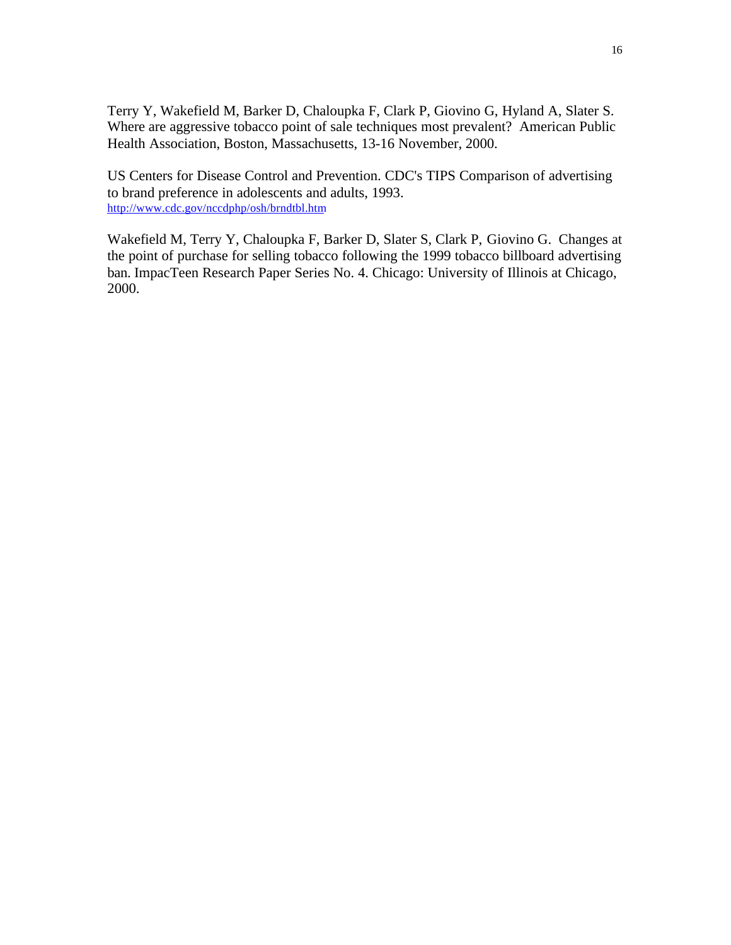Terry Y, Wakefield M, Barker D, Chaloupka F, Clark P, Giovino G, Hyland A, Slater S. Where are aggressive tobacco point of sale techniques most prevalent? American Public Health Association, Boston, Massachusetts, 13-16 November, 2000.

US Centers for Disease Control and Prevention. CDC's TIPS Comparison of advertising to brand preference in adolescents and adults, 1993. http://www.cdc.gov/nccdphp/osh/brndtbl.htm

Wakefield M, Terry Y, Chaloupka F, Barker D, Slater S, Clark P, Giovino G. Changes at the point of purchase for selling tobacco following the 1999 tobacco billboard advertising ban. ImpacTeen Research Paper Series No. 4. Chicago: University of Illinois at Chicago, 2000.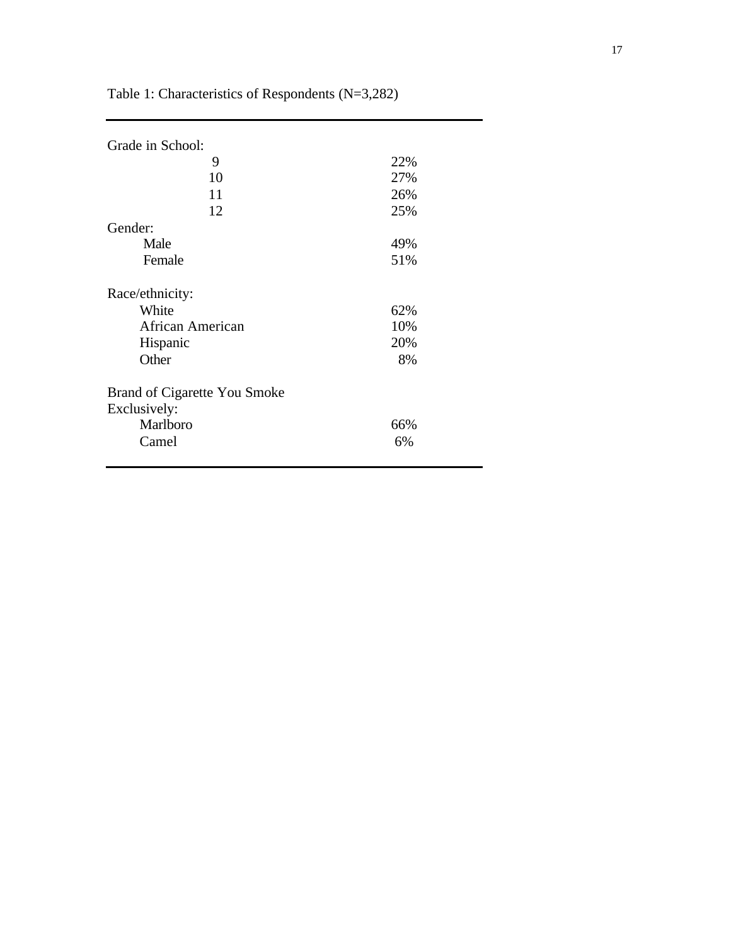| Grade in School:             |     |
|------------------------------|-----|
| 9                            | 22% |
| 10                           | 27% |
| 11                           | 26% |
| 12                           | 25% |
| Gender:                      |     |
| Male                         | 49% |
| Female                       | 51% |
| Race/ethnicity:              |     |
| White                        | 62% |
| <b>African American</b>      | 10% |
| Hispanic                     | 20% |
| Other                        | 8%  |
| Brand of Cigarette You Smoke |     |
| Exclusively:                 |     |
| Marlboro                     | 66% |
| Camel                        | 6%  |
|                              |     |

Table 1: Characteristics of Respondents (N=3,282)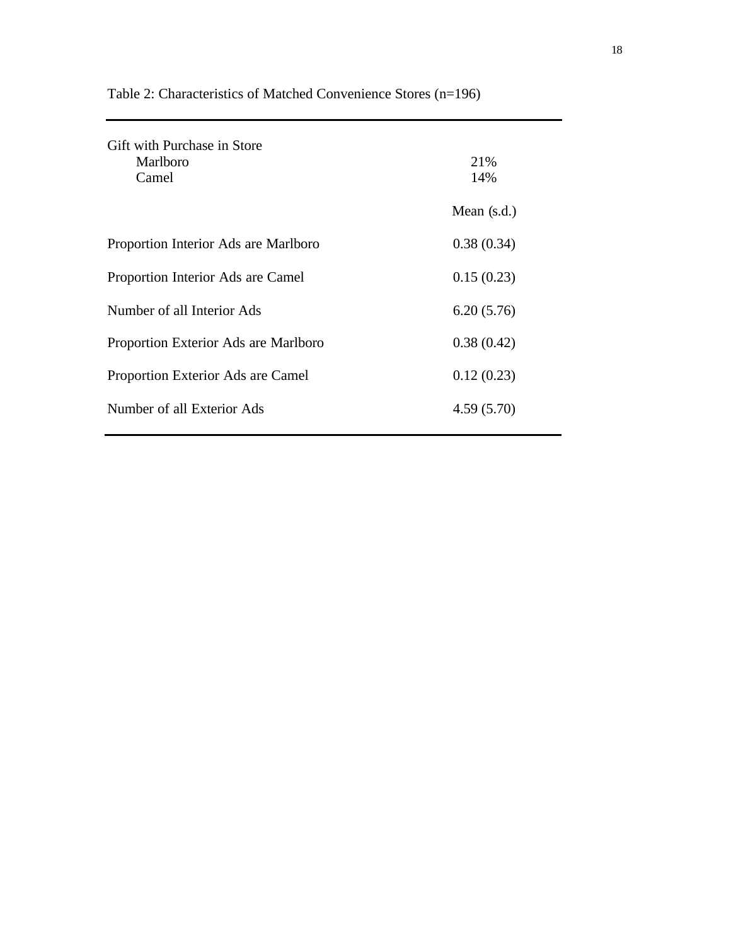| Gift with Purchase in Store<br>Marlboro<br>Camel | 21%<br>14%    |
|--------------------------------------------------|---------------|
|                                                  | Mean $(s.d.)$ |
| Proportion Interior Ads are Marlboro             | 0.38(0.34)    |
| Proportion Interior Ads are Camel                | 0.15(0.23)    |
| Number of all Interior Ads                       | 6.20(5.76)    |
| Proportion Exterior Ads are Marlboro             | 0.38(0.42)    |
| Proportion Exterior Ads are Camel                | 0.12(0.23)    |
| Number of all Exterior Ads                       | 4.59(5.70)    |

Table 2: Characteristics of Matched Convenience Stores (n=196)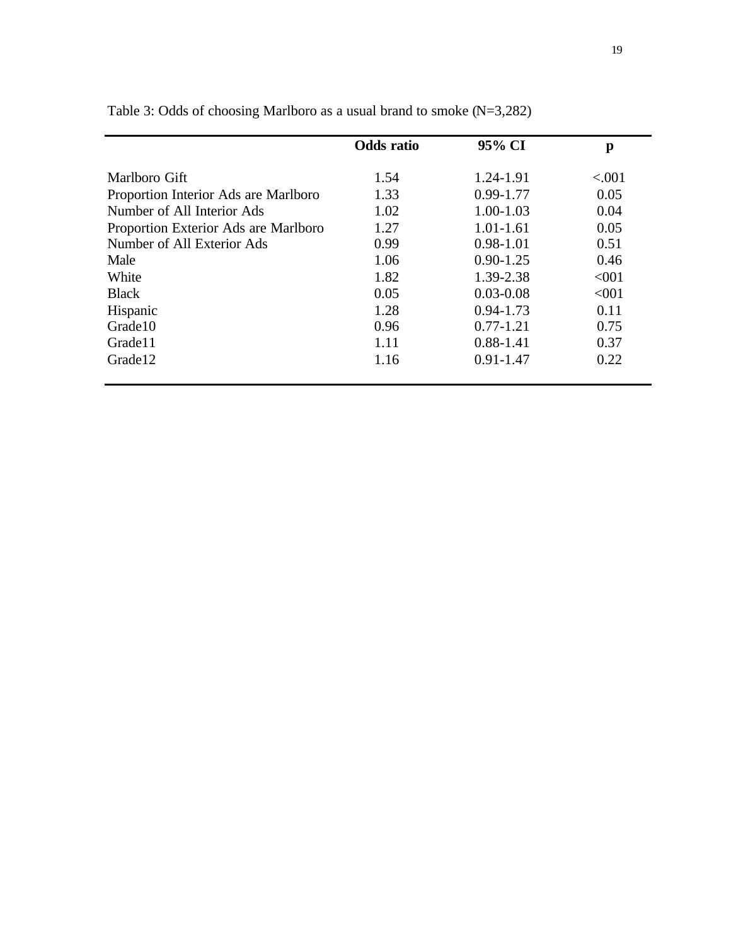|                                      | <b>Odds</b> ratio | 95% CI        | p        |
|--------------------------------------|-------------------|---------------|----------|
| Marlboro Gift                        | 1.54              | 1.24-1.91     | ${<}001$ |
| Proportion Interior Ads are Marlboro | 1.33              | $0.99 - 1.77$ | 0.05     |
| Number of All Interior Ads           | 1.02              | $1.00 - 1.03$ | 0.04     |
| Proportion Exterior Ads are Marlboro | 1.27              | $1.01 - 1.61$ | 0.05     |
| Number of All Exterior Ads           | 0.99              | $0.98 - 1.01$ | 0.51     |
| Male                                 | 1.06              | $0.90 - 1.25$ | 0.46     |
| White                                | 1.82              | 1.39-2.38     | < 001    |
| <b>Black</b>                         | 0.05              | $0.03 - 0.08$ | < 001    |
| Hispanic                             | 1.28              | $0.94 - 1.73$ | 0.11     |
| Grade10                              | 0.96              | $0.77 - 1.21$ | 0.75     |
| Grade11                              | 1.11              | $0.88 - 1.41$ | 0.37     |
| Grade <sub>12</sub>                  | 1.16              | $0.91 - 1.47$ | 0.22     |

Table 3: Odds of choosing Marlboro as a usual brand to smoke (N=3,282)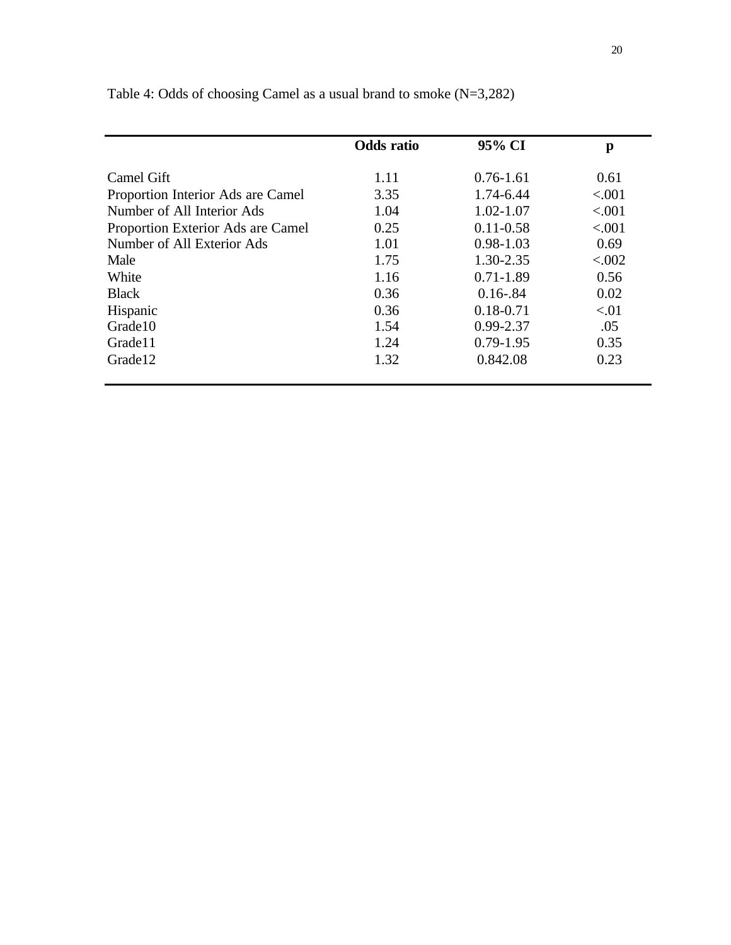|                                   | <b>Odds</b> ratio | 95% CI        | p       |
|-----------------------------------|-------------------|---------------|---------|
| Camel Gift                        | 1.11              | $0.76 - 1.61$ | 0.61    |
| Proportion Interior Ads are Camel | 3.35              | 1.74-6.44     | < .001  |
| Number of All Interior Ads        | 1.04              | $1.02 - 1.07$ | < .001  |
| Proportion Exterior Ads are Camel | 0.25              | $0.11 - 0.58$ | < .001  |
| Number of All Exterior Ads        | 1.01              | $0.98 - 1.03$ | 0.69    |
| Male                              | 1.75              | 1.30-2.35     | < 0.002 |
| White                             | 1.16              | $0.71 - 1.89$ | 0.56    |
| <b>Black</b>                      | 0.36              | $0.16 - 84$   | 0.02    |
| Hispanic                          | 0.36              | $0.18 - 0.71$ | < 01    |
| Grade10                           | 1.54              | 0.99-2.37     | .05     |
| Grade11                           | 1.24              | $0.79 - 1.95$ | 0.35    |
| Grade12                           | 1.32              | 0.842.08      | 0.23    |

Table 4: Odds of choosing Camel as a usual brand to smoke (N=3,282)